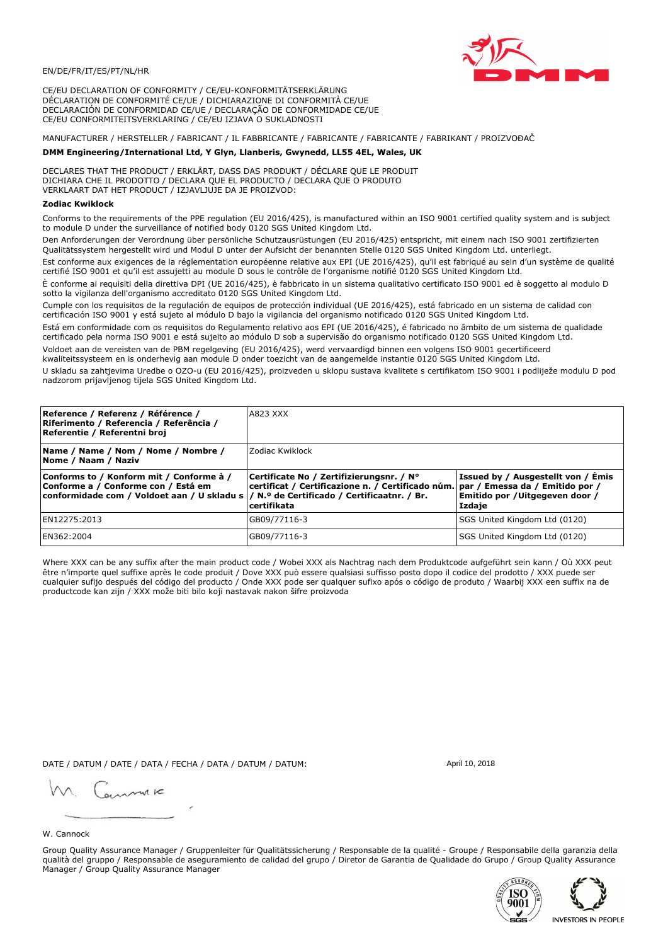

CE/EU DECLARATION OF CONFORMITY / CE/EU-KONFORMITÄTSERKLÄRUNG DÉCLARATION DE CONFORMITÉ CE/UE / DICHIARAZIONE DI CONFORMITÀ CE/UE DECLARACIÓN DE CONFORMIDAD CE/UE / DECLARAÇÃO DE CONFORMIDADE CE/UE CE/EU CONFORMITEITSVERKLARING / CE/EU IZJAVA O SUKLADNOSTI

# MANUFACTURER / HERSTELLER / FABRICANT / IL FABBRICANTE / FABRICANTE / FABRICANTE / FABRIKANT / PROIZVOĐAČ

## DMM Engineering/International Ltd, Y Glyn, Llanberis, Gwynedd, LL55 4EL, Wales, UK

DECLARES THAT THE PRODUCT / ERKLÄRT, DASS DAS PRODUKT / DÉCLARE QUE LE PRODUIT<br>DICHIARA CHE IL PRODOTTO / DECLARA QUE EL PRODUCTO / DECLARA QUE O PRODUTO VERKLAART DAT HET PRODUCT / IZJAVLJUJE DA JE PROIZVOD:

#### **Zodiac Kwiklock**

Conforms to the requirements of the PPE regulation (EU 2016/425), is manufactured within an ISO 9001 certified quality system and is subject to module D under the surveillance of notified body 0120 SGS United Kingdom Ltd.

Den Anforderungen der Verordnung über persönliche Schutzausrüstungen (EU 2016/425) entspricht, mit einem nach ISO 9001 zertifizierten Qualitätssystem hergestellt wird und Modul D unter der Aufsicht der benannten Stelle 0120 SGS United Kingdom Ltd. unterliegt.

Est conforme aux exigences de la réglementation européenne relative aux EPI (UE 2016/425), qu'il est fabriqué au sein d'un système de qualité certifié ISO 9001 et qu'il est assujetti au module D sous le contrôle de l'organisme notifié 0120 SGS United Kingdom Ltd.

È conforme ai requisiti della direttiva DPI (UE 2016/425), è fabbricato in un sistema qualitativo certificato ISO 9001 ed è soggetto al modulo D sotto la vigilanza dell'organismo accreditato 0120 SGS United Kingdom Ltd.

Cumple con los requisitos de la regulación de equipos de protección individual (UE 2016/425), está fabricado en un sistema de calidad con certificación ISO 9001 y está sujeto al módulo D bajo la vigilancia del organismo notificado 0120 SGS United Kingdom Ltd.

Está em conformidade com os requisitos do Regulamento relativo aos EPI (UE 2016/425), é fabricado no âmbito de um sistema de qualidade certificado pela norma ISO 9001 e está sujeito ao módulo D sob a supervisão do organismo notificado 0120 SGS United Kingdom Ltd. Voldoet aan de vereisten van de PBM regelgeving (EU 2016/425), werd vervaardigd binnen een volgens ISO 9001 gecertificeerd

kwaliteitssysteem en is onderhevig aan module D onder toezicht van de aangemelde instantie 0120 SGS United Kingdom Ltd.

U skladu sa zahtjevima Uredbe o OZO-u (EU 2016/425), proizveden u sklopu sustava kvalitete s certifikatom ISO 9001 i podliježe modulu D pod nadzorom prijavljenog tijela SGS United Kingdom Ltd.

| Reference / Referenz / Référence /<br>Riferimento / Referencia / Referência /<br>Referentie / Referentni broj                                                              | <b>A823 XXX</b>                                                                                                                              |                                                                                 |  |
|----------------------------------------------------------------------------------------------------------------------------------------------------------------------------|----------------------------------------------------------------------------------------------------------------------------------------------|---------------------------------------------------------------------------------|--|
| Name / Name / Nom / Nome / Nombre /<br>Nome / Naam / Naziv                                                                                                                 | Zodiac Kwiklock                                                                                                                              |                                                                                 |  |
| Conforms to / Konform mit / Conforme à /<br>Conforme a / Conforme con / Está em<br>conformidade com / Voldoet aan / U skladu s / N.º de Certificado / Certificaatnr. / Br. | Certificate No / Zertifizierungsnr. / N°<br>certificat / Certificazione n. / Certificado núm. par / Emessa da / Emitido por /<br>certifikata | Issued by / Ausgestellt von / Émis<br>Emitido por / Uitgegeven door /<br>Izdaje |  |
| EN12275:2013                                                                                                                                                               | GB09/77116-3                                                                                                                                 | SGS United Kingdom Ltd (0120)                                                   |  |
| EN362:2004                                                                                                                                                                 | GB09/77116-3                                                                                                                                 | SGS United Kingdom Ltd (0120)                                                   |  |

Where XXX can be any suffix after the main product code / Wobei XXX als Nachtrag nach dem Produktcode aufgeführt sein kann / Où XXX peut être n'importe quel suffixe après le code produit / Dove XXX può essere qualsiasi suffisso posto dopo il codice del prodotto / XXX puede ser cualquier sufijo después del código del producto / Onde XXX pode ser qualquer sufixo após o código de produto / Waarbij XXX een suffix na de productcode kan zijn / XXX može biti bilo koji nastavak nakon šifre proizvoda

DATE / DATUM / DATE / DATA / FECHA / DATA / DATUM / DATUM:

gimmic

April 10, 2018

#### W. Cannock

Group Quality Assurance Manager / Gruppenleiter für Qualitätssicherung / Responsable de la qualité - Groupe / Responsabile della garanzia della qualità del gruppo / Responsable de aseguramiento de calidad del grupo / Diretor de Garantia de Qualidade do Grupo / Group Quality Assurance Manager / Group Quality Assurance Manager



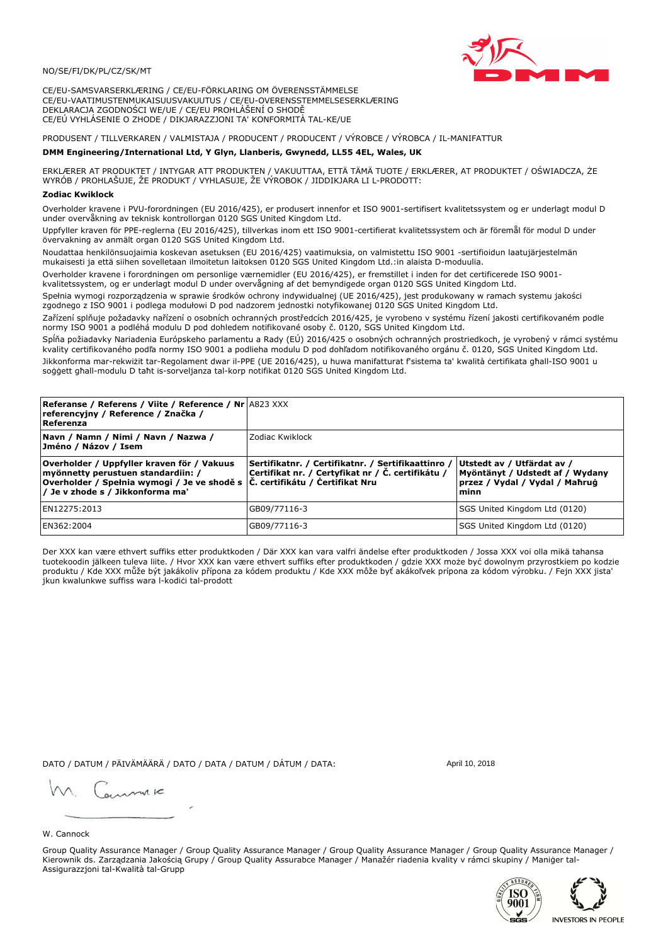### NO/SE/FI/DK/PL/CZ/SK/MT

CE/EU-SAMSVARSERKLÆRING / CE/EU-FÖRKLARING OM ÖVERENSSTÄMMELSE CE/EU-VAATIMUSTENMUKAISUUSVAKUUTUS / CE/EU-OVERENSSTEMMELSESERKLÆRING DEKLARACJA ZGODNOŚCI WE/UE / CE/EU PROHLÁŠENÍ O SHODĚ CE/EÚ VYHLÁSENIE O ZHODE / DIKJARAZZJONI TA' KONFORMITÀ TAL-KE/UE

PRODUSENT / TILLVERKAREN / VALMISTAJA / PRODUCENT / PRODUCENT / VÝROBCE / VÝROBCA / IL-MANIFATTUR

### DMM Engineering/International Ltd, Y Glyn, Llanberis, Gwynedd, LL55 4EL, Wales, UK

ERKLÆRER AT PRODUKTET / INTYGAR ATT PRODUKTEN / VAKUUTTAA, ETTÄ TÄMÄ TUOTE / ERKLÆRER, AT PRODUKTET / OŚWIADCZA, ŻE<br>WYRÓB / PROHLAŠUJE, ŽE PRODUKT / VYHLASUJE, ŽE VÝROBOK / JIDDIKJARA LI L-PRODOTT:

Overholder kravene i PVU-forordningen (EU 2016/425), er produsert innenfor et ISO 9001-sertifisert kvalitetssystem og er underlagt modul D<br>under overvåkning av teknisk kontrollorgan 0120 SGS United Kingdom Ltd.

Uppfyller kraven för PPE-reglerna (EU 2016/425), tillverkas inom ett ISO 9001-certifierat kvalitetssystem och är föremål för modul D under övervakning av anmält organ 0120 SGS United Kingdom Ltd.

Noudattaa henkilönsuojaimia koskevan asetuksen (EU 2016/425) vaatimuksia, on valmistettu ISO 9001 -sertifioidun laatujärjestelmän mukaisesti ja että siihen sovelletaan ilmoitetun laitoksen 0120 SGS United Kingdom Ltd.:in alaista D-moduulia.

Overholder kravene i forordningen om personlige værnemidler (EU 2016/425), er fremstillet i inden for det certificerede ISO 9001kvalitetssystem, og er underlagt modul D under overvågning af det bemyndigede organ 0120 SGS United Kingdom Ltd.

Spełnia wymogi rozporządzenia w sprawie środków ochrony indywidualnej (UE 2016/425), jest produkowany w ramach systemu jakości zgodnego z ISO 9001 i podlega modułowi D pod nadzorem jednostki notyfikowanej 0120 SGS United Kingdom Ltd.

Zařízení splňuje požadavky nařízení o osobních ochranných prostředcích 2016/425, je vyrobeno v systému řízení jakosti certifikovaném podle normy ISO 9001 a podléhá modulu D pod dohledem notifikované osoby č. 0120, SGS United Kingdom Ltd.

Spĺňa požiadavky Nariadenia Európskeho parlamentu a Rady (EÚ) 2016/425 o osobných ochranných prostriedkoch, je vyrobený v rámci systému kvality certifikovaného podľa normy ISO 9001 a podlieha modulu D pod dohľadom notifikovaného orgánu č. 0120, SGS Únited Kingdom Ltd. Jikkonforma mar-rekwiżit tar-Regolament dwar il-PPE (UE 2016/425), u huwa manifatturat f'sistema ta' kwalità certifikata għall-ISO 9001 u soggett ghall-modulu D taht is-sorveljanza tal-korp notifikat 0120 SGS United Kingdom Ltd.

| <b>Referanse / Referens / Viite / Reference / Nr A823 XXX</b><br>referencyjny / Reference / Značka /<br>Referenza                                                                                                 |                                                                                                         |                                                                                                         |
|-------------------------------------------------------------------------------------------------------------------------------------------------------------------------------------------------------------------|---------------------------------------------------------------------------------------------------------|---------------------------------------------------------------------------------------------------------|
| Navn / Namn / Nimi / Navn / Nazwa /<br>Jméno / Názov / Isem                                                                                                                                                       | Zodiac Kwiklock                                                                                         |                                                                                                         |
| Overholder / Uppfyller kraven för / Vakuus<br>myönnetty perustuen standardiin: /<br> Overholder / Spełnia wymogi / Je ve shodě s $ \tilde{C} $ . certifikátu / Čertifikat Nru<br>/ Je v zhode s / Jikkonforma ma' | Sertifikatnr. / Certifikatnr. / Sertifikaattinro /<br>Certifikat nr. / Certyfikat nr / Č. certifikátu / | Utstedt av / Utfärdat av /<br>Myöntänyt / Udstedt af / Wydany<br>przez / Vydal / Vydal / Maħruġ<br>minn |
| EN12275:2013                                                                                                                                                                                                      | GB09/77116-3                                                                                            | SGS United Kingdom Ltd (0120)                                                                           |
| EN362:2004                                                                                                                                                                                                        | GB09/77116-3                                                                                            | SGS United Kingdom Ltd (0120)                                                                           |

Der XXX kan være ethvert suffiks etter produktkoden / Där XXX kan vara valfri ändelse efter produktkoden / Jossa XXX voi olla mikä tahansa tuotekoodin jälkeen tuleva liite. / Hvor XXX kan være ethvert suffiks efter produktkoden / gdzie XXX može być dowolnym przyrostkiem po kodzie<br>produktu / Kde XXX může být jakákoliv přípona za kódem produktu / Kde XXX môže b jkun kwalunkwe suffiss wara l-kodići tal-prodott

DATO / DATUM / PÄIVÄMÄÄRÄ / DATO / DATA / DATUM / DÁTUM / DATA:

April 10, 2018

annuic

## W. Cannock

Group Quality Assurance Manager / Group Quality Assurance Manager / Group Quality Assurance Manager / Group Quality Assurance Manager / Kierownik ds. Zarządzania Jakością Grupy / Group Quality Assurabce Manager / Manažér riadenia kvality v rámci skupiny / Maniger tal-Assigurazzjoni tal-Kwalità tal-Grupp